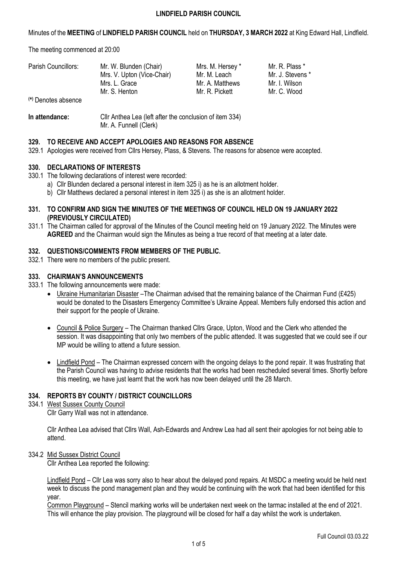Minutes of the **MEETING** of **LINDFIELD PARISH COUNCIL** held on **THURSDAY, 3 MARCH 2022** at King Edward Hall, Lindfield.

The meeting commenced at 20:00

| Parish Councillors:<br>(*) Denotes absence | Mr. W. Blunden (Chair)<br>Mrs. V. Upton (Vice-Chair)<br>Mrs. L. Grace<br>Mr. S. Henton | Mrs. M. Hersey *<br>Mr. M. Leach<br>Mr. A. Matthews<br>Mr. R. Pickett | Mr. R. Plass *<br>Mr. J. Stevens *<br>Mr. I. Wilson<br>Mr. C. Wood |
|--------------------------------------------|----------------------------------------------------------------------------------------|-----------------------------------------------------------------------|--------------------------------------------------------------------|
| In attendance:                             | Cllr Anthea Lea (left after the conclusion of item 334)                                |                                                                       |                                                                    |

# **329. TO RECEIVE AND ACCEPT APOLOGIES AND REASONS FOR ABSENCE**

Mr. A. Funnell (Clerk)

329.1 Apologies were received from Cllrs Hersey, Plass, & Stevens. The reasons for absence were accepted.

# **330. DECLARATIONS OF INTERESTS**

- 330.1 The following declarations of interest were recorded:
	- a) Cllr Blunden declared a personal interest in item 325 i) as he is an allotment holder.
	- b) Cllr Matthews declared a personal interest in item 325 i) as she is an allotment holder.
- **331. TO CONFIRM AND SIGN THE MINUTES OF THE MEETINGS OF COUNCIL HELD ON 19 JANUARY 2022 (PREVIOUSLY CIRCULATED)**
- 331.1 The Chairman called for approval of the Minutes of the Council meeting held on 19 January 2022. The Minutes were **AGREED** and the Chairman would sign the Minutes as being a true record of that meeting at a later date.

## **332. QUESTIONS/COMMENTS FROM MEMBERS OF THE PUBLIC.**

332.1 There were no members of the public present.

## **333. CHAIRMAN'S ANNOUNCEMENTS**

- 333.1 The following announcements were made:
	- Ukraine Humanitarian Disaster –The Chairman advised that the remaining balance of the Chairman Fund (£425) would be donated to the Disasters Emergency Committee's Ukraine Appeal. Members fully endorsed this action and their support for the people of Ukraine.
	- Council & Police Surgery The Chairman thanked Cllrs Grace, Upton, Wood and the Clerk who attended the session. It was disappointing that only two members of the public attended. It was suggested that we could see if our MP would be willing to attend a future session.
	- Lindfield Pond The Chairman expressed concern with the ongoing delays to the pond repair. It was frustrating that the Parish Council was having to advise residents that the works had been rescheduled several times. Shortly before this meeting, we have just learnt that the work has now been delayed until the 28 March.

# **334. REPORTS BY COUNTY / DISTRICT COUNCILLORS**

## 334.1 West Sussex County Council

Cllr Garry Wall was not in attendance.

Cllr Anthea Lea advised that Cllrs Wall, Ash-Edwards and Andrew Lea had all sent their apologies for not being able to attend.

### 334.2 Mid Sussex District Council

Cllr Anthea Lea reported the following:

Lindfield Pond – Cllr Lea was sorry also to hear about the delayed pond repairs. At MSDC a meeting would be held next week to discuss the pond management plan and they would be continuing with the work that had been identified for this year.

Common Playground – Stencil marking works will be undertaken next week on the tarmac installed at the end of 2021. This will enhance the play provision. The playground will be closed for half a day whilst the work is undertaken.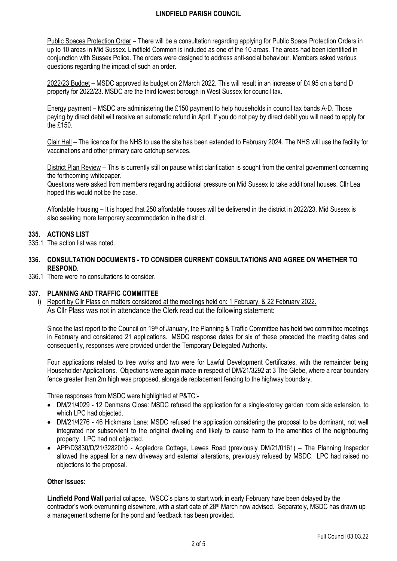Public Spaces Protection Order – There will be a consultation regarding applying for Public Space Protection Orders in up to 10 areas in Mid Sussex. Lindfield Common is included as one of the 10 areas. The areas had been identified in conjunction with Sussex Police. The orders were designed to address anti-social behaviour. Members asked various questions regarding the impact of such an order.

2022/23 Budget – MSDC approved its budget on 2March 2022. This will result in an increase of £4.95 on a band D property for 2022/23. MSDC are the third lowest borough in West Sussex for council tax.

Energy payment – MSDC are administering the £150 payment to help households in council tax bands A-D. Those paying by direct debit will receive an automatic refund in April. If you do not pay by direct debit you will need to apply for the £150.

Clair Hall – The licence for the NHS to use the site has been extended to February 2024. The NHS will use the facility for vaccinations and other primary care catchup services.

District Plan Review – This is currently still on pause whilst clarification is sought from the central government concerning the forthcoming whitepaper.

Questions were asked from members regarding additional pressure on Mid Sussex to take additional houses. Cllr Lea hoped this would not be the case.

Affordable Housing – It is hoped that 250 affordable houses will be delivered in the district in 2022/23. Mid Sussex is also seeking more temporary accommodation in the district.

## **335. ACTIONS LIST**

- 335.1 The action list was noted.
- **336. CONSULTATION DOCUMENTS - TO CONSIDER CURRENT CONSULTATIONS AND AGREE ON WHETHER TO RESPOND.**
- 336.1 There were no consultations to consider.

### **337. PLANNING AND TRAFFIC COMMITTEE**

i) Report by Cllr Plass on matters considered at the meetings held on: 1 February, & 22 February 2022. As Cllr Plass was not in attendance the Clerk read out the following statement:

Since the last report to the Council on  $19<sup>th</sup>$  of January, the Planning & Traffic Committee has held two committee meetings in February and considered 21 applications. MSDC response dates for six of these preceded the meeting dates and consequently, responses were provided under the Temporary Delegated Authority.

Four applications related to tree works and two were for Lawful Development Certificates, with the remainder being Householder Applications. Objections were again made in respect of DM/21/3292 at 3 The Glebe, where a rear boundary fence greater than 2m high was proposed, alongside replacement fencing to the highway boundary.

Three responses from MSDC were highlighted at P&TC:-

- DM/21/4029 12 Denmans Close: MSDC refused the application for a single-storey garden room side extension, to which LPC had objected.
- DM/21/4276 46 Hickmans Lane: MSDC refused the application considering the proposal to be dominant, not well integrated nor subservient to the original dwelling and likely to cause harm to the amenities of the neighbouring property. LPC had not objected.
- APP/D3830/D/21/3282010 Appledore Cottage, Lewes Road (previously DM/21/0161) The Planning Inspector allowed the appeal for a new driveway and external alterations, previously refused by MSDC. LPC had raised no objections to the proposal.

### **Other Issues:**

**Lindfield Pond Wall** partial collapse. WSCC's plans to start work in early February have been delayed by the contractor's work overrunning elsewhere, with a start date of 28<sup>th</sup> March now advised. Separately, MSDC has drawn up a management scheme for the pond and feedback has been provided.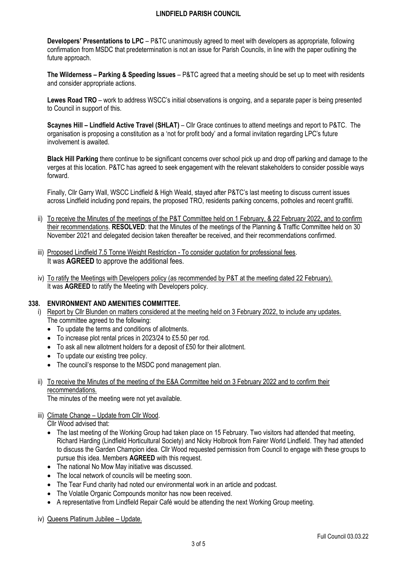**Developers' Presentations to LPC** – P&TC unanimously agreed to meet with developers as appropriate, following confirmation from MSDC that predetermination is not an issue for Parish Councils, in line with the paper outlining the future approach.

**The Wilderness – Parking & Speeding Issues** – P&TC agreed that a meeting should be set up to meet with residents and consider appropriate actions.

**Lewes Road TRO** – work to address WSCC's initial observations is ongoing, and a separate paper is being presented to Council in support of this.

**Scaynes Hill – Lindfield Active Travel (SHLAT)** – Cllr Grace continues to attend meetings and report to P&TC. The organisation is proposing a constitution as a 'not for profit body' and a formal invitation regarding LPC's future involvement is awaited.

**Black Hill Parking** there continue to be significant concerns over school pick up and drop off parking and damage to the verges at this location. P&TC has agreed to seek engagement with the relevant stakeholders to consider possible ways forward.

Finally, Cllr Garry Wall, WSCC Lindfield & High Weald, stayed after P&TC's last meeting to discuss current issues across Lindfield including pond repairs, the proposed TRO, residents parking concerns, potholes and recent graffiti.

- ii) To receive the Minutes of the meetings of the P&T Committee held on 1 February, & 22 February 2022, and to confirm their recommendations. **RESOLVED**: that the Minutes of the meetings of the Planning & Traffic Committee held on 30 November 2021 and delegated decision taken thereafter be received, and their recommendations confirmed.
- iii) Proposed Lindfield 7.5 Tonne Weight Restriction To consider quotation for professional fees. It was **AGREED** to approve the additional fees.
- iv) To ratify the Meetings with Developers policy (as recommended by P&T at the meeting dated 22 February). It was **AGREED** to ratify the Meeting with Developers policy.

# **338. ENVIRONMENT AND AMENITIES COMMITTEE.**

- i) Report by Cllr Blunden on matters considered at the meeting held on 3 February 2022, to include any updates. The committee agreed to the following:
	- To update the terms and conditions of allotments.
	- To increase plot rental prices in 2023/24 to £5.50 per rod.
	- To ask all new allotment holders for a deposit of £50 for their allotment.
	- To update our existing tree policy.
	- The council's response to the MSDC pond management plan.
- ii) To receive the Minutes of the meeting of the E&A Committee held on 3 February 2022 and to confirm their recommendations.

The minutes of the meeting were not yet available.

# iii) Climate Change – Update from Cllr Wood.

Cllr Wood advised that:

- The last meeting of the Working Group had taken place on 15 February. Two visitors had attended that meeting, Richard Harding (Lindfield Horticultural Society) and Nicky Holbrook from Fairer World Lindfield. They had attended to discuss the Garden Champion idea. Cllr Wood requested permission from Council to engage with these groups to pursue this idea. Members **AGREED** with this request.
- The national No Mow May initiative was discussed.
- The local network of councils will be meeting soon.
- The Tear Fund charity had noted our environmental work in an article and podcast.
- The Volatile Organic Compounds monitor has now been received.
- A representative from Lindfield Repair Café would be attending the next Working Group meeting.
- iv) Queens Platinum Jubilee Update.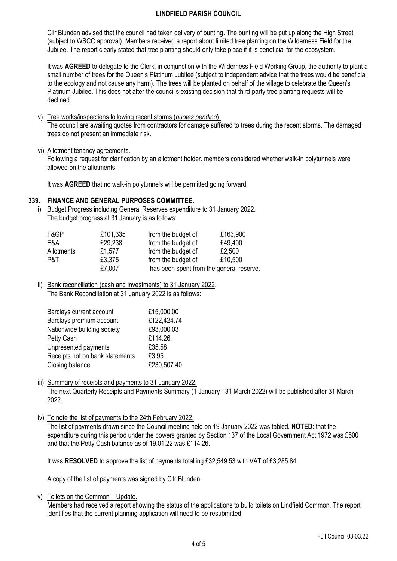Cllr Blunden advised that the council had taken delivery of bunting. The bunting will be put up along the High Street (subject to WSCC approval). Members received a report about limited tree planting on the Wilderness Field for the Jubilee. The report clearly stated that tree planting should only take place if it is beneficial for the ecosystem.

It was **AGREED** to delegate to the Clerk, in conjunction with the Wilderness Field Working Group, the authority to plant a small number of trees for the Queen's Platinum Jubilee (subject to independent advice that the trees would be beneficial to the ecology and not cause any harm). The trees will be planted on behalf of the village to celebrate the Queen's Platinum Jubilee. This does not alter the council's existing decision that third-party tree planting requests will be declined.

#### v) Tree works/inspections following recent storms (*quotes pending*).

The council are awaiting quotes from contractors for damage suffered to trees during the recent storms. The damaged trees do not present an immediate risk.

vi) Allotment tenancy agreements.

Following a request for clarification by an allotment holder, members considered whether walk-in polytunnels were allowed on the allotments.

It was **AGREED** that no walk-in polytunnels will be permitted going forward.

## **339. FINANCE AND GENERAL PURPOSES COMMITTEE.**

i) Budget Progress including General Reserves expenditure to 31 January 2022. The budget progress at 31 January is as follows:

| F&GP       | £101,335 | from the budget of                       | £163,900 |
|------------|----------|------------------------------------------|----------|
| E&A        | £29,238  | from the budget of                       | £49,400  |
| Allotments | £1,577   | from the budget of                       | £2,500   |
| P&T        | £3,375   | from the budget of                       | £10,500  |
|            | £7,007   | has been spent from the general reserve. |          |

ii) Bank reconciliation (cash and investments) to 31 January 2022. The Bank Reconciliation at 31 January 2022 is as follows:

| Barclays current account        | £15,000.00  |
|---------------------------------|-------------|
| Barclays premium account        | £122,424.74 |
| Nationwide building society     | £93,000.03  |
| Petty Cash                      | £114.26.    |
| Unpresented payments            | £35.58      |
| Receipts not on bank statements | £3.95       |
| Closing balance                 | £230,507.40 |

iii) Summary of receipts and payments to 31 January 2022. The next Quarterly Receipts and Payments Summary (1 January - 31 March 2022) will be published after 31 March 2022.

iv) To note the list of payments to the 24th February 2022.

The list of payments drawn since the Council meeting held on 19 January 2022 was tabled. **NOTED**: that the expenditure during this period under the powers granted by Section 137 of the Local Government Act 1972 was £500 and that the Petty Cash balance as of 19.01.22 was £114.26.

It was **RESOLVED** to approve the list of payments totalling £32,549.53 with VAT of £3,285.84.

A copy of the list of payments was signed by Cllr Blunden.

v) Toilets on the Common – Update.

Members had received a report showing the status of the applications to build toilets on Lindfield Common. The report identifies that the current planning application will need to be resubmitted.